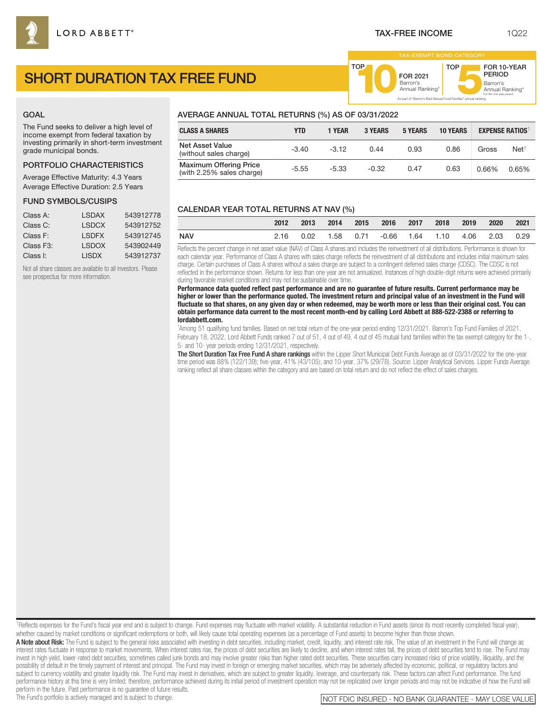FOR 2021<br>Barron's

Barron's **10**Annual Ranking\*

As part of "Barron's Best Mutual Fund Families" annual ranking.

TOP

Barron's<br>Annual Ranking\*

For the one-year period.

FOR 10-YEAR PERIOD

# SHORT DURATION TAX FREE FUND

## GOAL

The Fund seeks to deliver a high level of income exempt from federal taxation by investing primarily in short-term investment grade municipal bonds.

# PORTFOLIO CHARACTERISTICS

Average Effective Maturity: 4.3 Years Average Effective Duration: 2.5 Years

#### FUND SYMBOLS/CUSIPS

| Class A:               | I SDAX        | 543912778 |
|------------------------|---------------|-----------|
| Class C:               | <b>I SDCX</b> | 543912752 |
| Class F:               | <b>I SDEX</b> | 543912745 |
| Class F <sub>3</sub> : | <b>I SDOX</b> | 543902449 |
| Class I:               | I ISDX        | 543912737 |

Not all share classes are available to all investors. Please see prospectus for more information.

# AVERAGE ANNUAL TOTAL RETURNS (%) AS OF 03/31/2022

| <b>CLASS A SHARES</b>                                      | YTD     | 1 YEAR  | <b>3 YEARS</b> | <b>5 YEARS</b> | <b>10 YEARS</b> | <b>EXPENSE RATIOS</b> |                 |
|------------------------------------------------------------|---------|---------|----------------|----------------|-----------------|-----------------------|-----------------|
| <b>Net Asset Value</b><br>(without sales charge)           | $-3.40$ | $-3.12$ | 0.44           | 0.93           | 0.86            | Gross                 | $Net^{\dagger}$ |
| <b>Maximum Offering Price</b><br>(with 2.25% sales charge) | $-5.55$ | $-5.33$ | $-0.32$        | 0.47           | 0.63            | 0.66%                 | 0.65%           |

TOP

## CALENDAR YEAR TOTAL RETURNS AT NAV (%)

|            | 2012 | 2013 | 2014 | 2015 | 2016 2017                                     | 2018 | 2019 | 2020 | 2021 |
|------------|------|------|------|------|-----------------------------------------------|------|------|------|------|
| <b>NAV</b> |      |      |      |      | 2.16 0.02 1.58 0.71 -0.66 1.64 1.10 4.06 2.03 |      |      |      | 0.29 |

Reflects the percent change in net asset value (NAV) of Class A shares and includes the reinvestment of all distributions. Performance is shown for each calendar year. Performance of Class A shares with sales charge reflects the reinvestment of all distributions and includes initial maximum sales charge. Certain purchases of Class A shares without a sales charge are subject to a contingent deferred sales charge (CDSC). The CDSC is not reflected in the performance shown. Returns for less than one year are not annualized. Instances of high double-digit returns were achieved primarily during favorable market conditions and may not be sustainable over time.

**Performance data quoted reflect past performance and are no guarantee of future results. Current performance may be higher or lower than the performance quoted. The investment return and principal value of an investment in the Fund will fluctuate so that shares, on any given day or when redeemed, may be worth more or less than their original cost. You can obtain performance data current to the most recent month-end by calling Lord Abbett at 888-522-2388 or referring to lordabbett.com.**

\* Among 51 qualifying fund families. Based on net total return of the one-year period ending 12/31/2021. Barron's Top Fund Families of 2021, February 18, 2022, Lord Abbett Funds ranked 7 out of 51, 4 out of 49, 4 out of 45 mutual fund families within the tax exempt category for the 1-, 5- and 10- year periods ending 12/31/2021, respectively.

The Short Duration Tax Free Fund A share rankings within the Lipper Short Municipal Debt Funds Average as of 03/31/2022 for the one-year time period was 88% (122/139); five-year, 41% (43/105); and 10-year, 37% (29/78). Source: Lipper Analytical Services. Lipper Funds Average ranking reflect all share classes within the category and are based on total return and do not reflect the effect of sales charges.

<sup>1</sup>Reflects expenses for the Fund's fiscal year end and is subject to change. Fund expenses may fluctuate with market volatility. A substantial reduction in Fund assets (since its most recently completed fiscal year), whether caused by market conditions or significant redemptions or both, will likely cause total operating expenses (as a percentage of Fund assets) to become higher than those shown.

A Note about Risk: The Fund is subject to the general risks associated with investing in debt securities, including market, credit, liquidity, and interest rate risk. The value of an investment in the Fund will change as interest rates fluctuate in response to market movements. When interest rates rise, the prices of debt securities are likely to decline, and when interest rates fall, the prices of debt securities tend to rise. The Fund may invest in high yield, lower-rated debt securities, sometimes called junk bonds and may involve greater risks than higher rated debt securities. These securities carry increased risks of price volatility, illiquidity, and t possibility of default in the timely payment of interest and principal. The Fund may invest in foreign or emerging market securities, which may be adversely affected by economic, political, or regulatory factors and subject to currency volatility and greater liquidity risk. The Fund may invest in derivatives, which are subject to greater liquidity, leverage, and counterparty risk. These factors can affect Fund performance. The fund performance history at this time is very limited; therefore, performance achieved during its initial period of investment operation may not be replicated over longer periods and may not be indicative of how the Fund will

perform in the future. Past performance is no guarantee of future results.<br>The Fund's portfolio is actively managed and is subject to change.